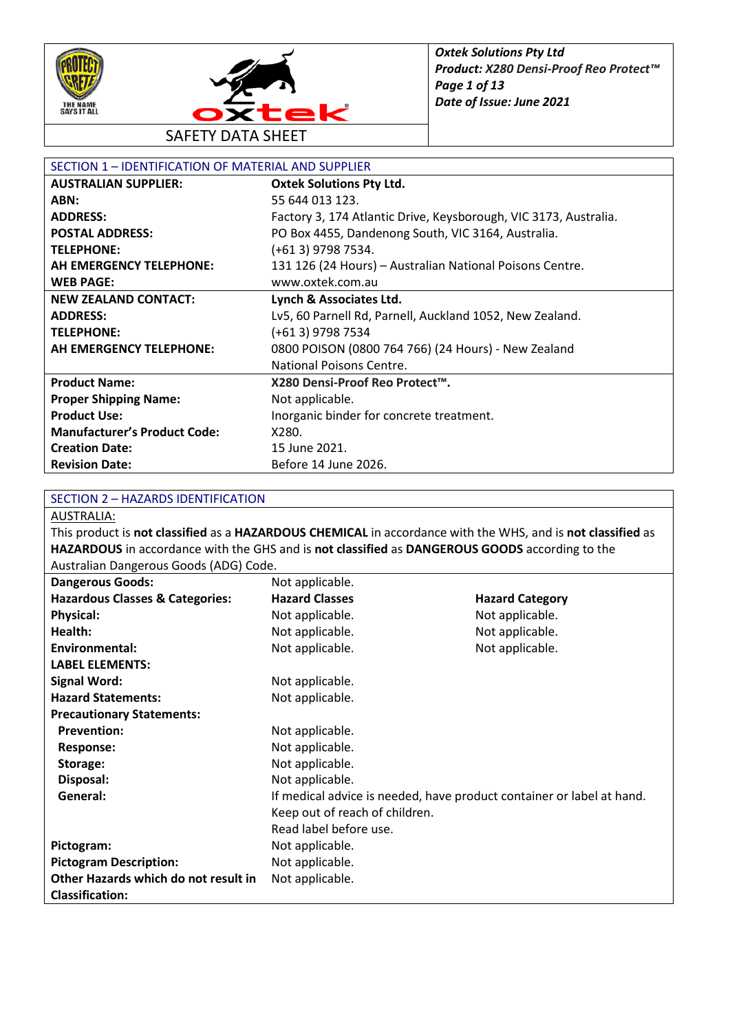



SAFETY DATA SHEET

| SECTION 1 - IDENTIFICATION OF MATERIAL AND SUPPLIER |                                                                  |  |
|-----------------------------------------------------|------------------------------------------------------------------|--|
| <b>AUSTRALIAN SUPPLIER:</b>                         | <b>Oxtek Solutions Pty Ltd.</b>                                  |  |
| ABN:                                                | 55 644 013 123.                                                  |  |
| <b>ADDRESS:</b>                                     | Factory 3, 174 Atlantic Drive, Keysborough, VIC 3173, Australia. |  |
| <b>POSTAL ADDRESS:</b>                              | PO Box 4455, Dandenong South, VIC 3164, Australia.               |  |
| <b>TELEPHONE:</b>                                   | (+61 3) 9798 7534.                                               |  |
| AH EMERGENCY TELEPHONE:                             | 131 126 (24 Hours) - Australian National Poisons Centre.         |  |
| <b>WEB PAGE:</b>                                    | www.oxtek.com.au                                                 |  |
| <b>NEW ZEALAND CONTACT:</b>                         | Lynch & Associates Ltd.                                          |  |
| <b>ADDRESS:</b>                                     | Lv5, 60 Parnell Rd, Parnell, Auckland 1052, New Zealand.         |  |
| <b>TELEPHONE:</b>                                   | (+61 3) 9798 7534                                                |  |
| AH EMERGENCY TELEPHONE:                             | 0800 POISON (0800 764 766) (24 Hours) - New Zealand              |  |
|                                                     | National Poisons Centre.                                         |  |
| <b>Product Name:</b>                                | X280 Densi-Proof Reo Protect™.                                   |  |
| <b>Proper Shipping Name:</b>                        | Not applicable.                                                  |  |
| <b>Product Use:</b>                                 | Inorganic binder for concrete treatment.                         |  |
| <b>Manufacturer's Product Code:</b>                 | X280.                                                            |  |
| <b>Creation Date:</b>                               | 15 June 2021.                                                    |  |
| <b>Revision Date:</b>                               | Before 14 June 2026.                                             |  |

#### SECTION 2 – HAZARDS IDENTIFICATION

AUSTRALIA:

This product is **not classified** as a **HAZARDOUS CHEMICAL** in accordance with the WHS, and is **not classified** as **HAZARDOUS** in accordance with the GHS and is **not classified** as **DANGEROUS GOODS** according to the Australian Dangerous Goods (ADG) Code.

| <b>Dangerous Goods:</b>                    | Not applicable.                                                       |                        |
|--------------------------------------------|-----------------------------------------------------------------------|------------------------|
| <b>Hazardous Classes &amp; Categories:</b> | <b>Hazard Classes</b>                                                 | <b>Hazard Category</b> |
| <b>Physical:</b>                           | Not applicable.                                                       | Not applicable.        |
| Health:                                    | Not applicable.                                                       | Not applicable.        |
| Environmental:                             | Not applicable.                                                       | Not applicable.        |
| <b>LABEL ELEMENTS:</b>                     |                                                                       |                        |
| <b>Signal Word:</b>                        | Not applicable.                                                       |                        |
| <b>Hazard Statements:</b>                  | Not applicable.                                                       |                        |
| <b>Precautionary Statements:</b>           |                                                                       |                        |
| <b>Prevention:</b>                         | Not applicable.                                                       |                        |
| <b>Response:</b>                           | Not applicable.                                                       |                        |
| Storage:                                   | Not applicable.                                                       |                        |
| Disposal:                                  | Not applicable.                                                       |                        |
| General:                                   | If medical advice is needed, have product container or label at hand. |                        |
|                                            | Keep out of reach of children.                                        |                        |
|                                            | Read label before use.                                                |                        |
| Pictogram:                                 | Not applicable.                                                       |                        |
| <b>Pictogram Description:</b>              | Not applicable.                                                       |                        |
| Other Hazards which do not result in       | Not applicable.                                                       |                        |
| <b>Classification:</b>                     |                                                                       |                        |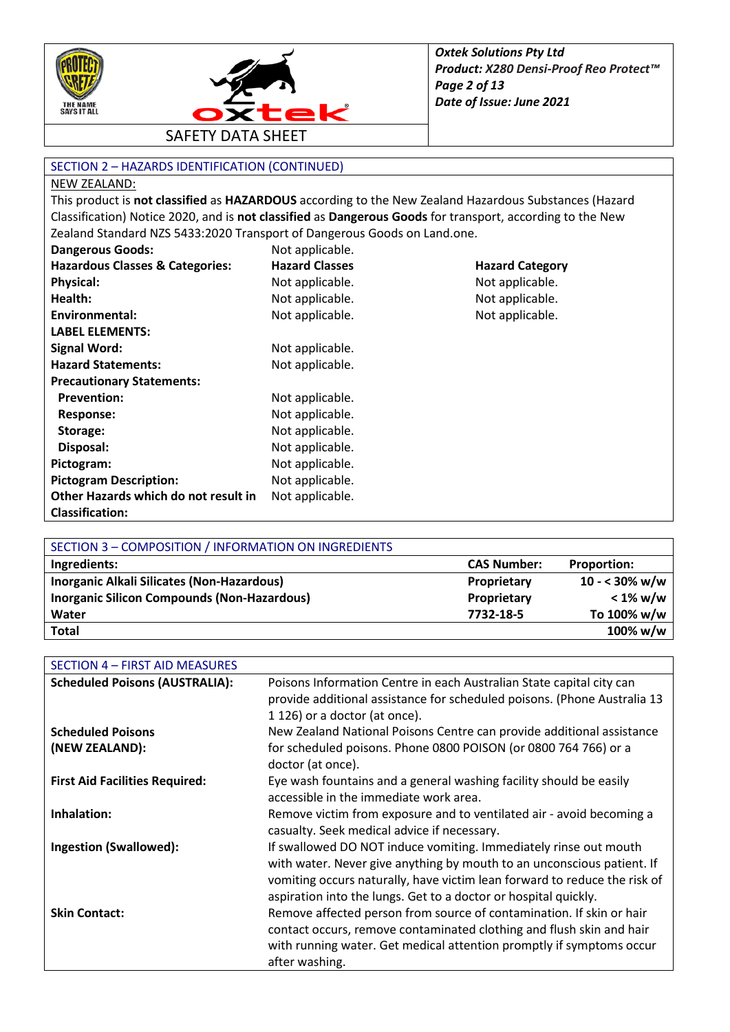



#### SECTION 2 – HAZARDS IDENTIFICATION (CONTINUED)

#### NEW ZEALAND:

This product is **not classified** as **HAZARDOUS** according to the New Zealand Hazardous Substances (Hazard Classification) Notice 2020, and is **not classified** as **Dangerous Goods** for transport, according to the New Zealand Standard NZS 5433:2020 Transport of Dangerous Goods on Land.one.

| <b>Dangerous Goods:</b>                    | Not applicable.       |                        |
|--------------------------------------------|-----------------------|------------------------|
| <b>Hazardous Classes &amp; Categories:</b> | <b>Hazard Classes</b> | <b>Hazard Category</b> |
| <b>Physical:</b>                           | Not applicable.       | Not applicable.        |
| Health:                                    | Not applicable.       | Not applicable.        |
| Environmental:                             | Not applicable.       | Not applicable.        |
| <b>LABEL ELEMENTS:</b>                     |                       |                        |
| <b>Signal Word:</b>                        | Not applicable.       |                        |
| <b>Hazard Statements:</b>                  | Not applicable.       |                        |
| <b>Precautionary Statements:</b>           |                       |                        |
| <b>Prevention:</b>                         | Not applicable.       |                        |
| Response:                                  | Not applicable.       |                        |
| Storage:                                   | Not applicable.       |                        |
| Disposal:                                  | Not applicable.       |                        |
| Pictogram:                                 | Not applicable.       |                        |
| <b>Pictogram Description:</b>              | Not applicable.       |                        |
| Other Hazards which do not result in       | Not applicable.       |                        |
| <b>Classification:</b>                     |                       |                        |

| SECTION 3 - COMPOSITION / INFORMATION ON INGREDIENTS |                    |                         |
|------------------------------------------------------|--------------------|-------------------------|
| Ingredients:                                         | <b>CAS Number:</b> | <b>Proportion:</b>      |
| Inorganic Alkali Silicates (Non-Hazardous)           | Proprietary        | $10 - 30\% \text{ w/w}$ |
| <b>Inorganic Silicon Compounds (Non-Hazardous)</b>   | Proprietary        | $< 1\%$ w/w             |
| Water                                                | 7732-18-5          | To 100% w/w             |
| <b>Total</b>                                         |                    | 100% w/w                |

| SECTION 4 - FIRST AID MEASURES        |                                                                                                                                                                                                                                                                                            |
|---------------------------------------|--------------------------------------------------------------------------------------------------------------------------------------------------------------------------------------------------------------------------------------------------------------------------------------------|
| <b>Scheduled Poisons (AUSTRALIA):</b> | Poisons Information Centre in each Australian State capital city can<br>provide additional assistance for scheduled poisons. (Phone Australia 13<br>1 126) or a doctor (at once).                                                                                                          |
| <b>Scheduled Poisons</b>              | New Zealand National Poisons Centre can provide additional assistance                                                                                                                                                                                                                      |
| (NEW ZEALAND):                        | for scheduled poisons. Phone 0800 POISON (or 0800 764 766) or a<br>doctor (at once).                                                                                                                                                                                                       |
| <b>First Aid Facilities Required:</b> | Eye wash fountains and a general washing facility should be easily<br>accessible in the immediate work area.                                                                                                                                                                               |
| Inhalation:                           | Remove victim from exposure and to ventilated air - avoid becoming a<br>casualty. Seek medical advice if necessary.                                                                                                                                                                        |
| <b>Ingestion (Swallowed):</b>         | If swallowed DO NOT induce vomiting. Immediately rinse out mouth<br>with water. Never give anything by mouth to an unconscious patient. If<br>vomiting occurs naturally, have victim lean forward to reduce the risk of<br>aspiration into the lungs. Get to a doctor or hospital quickly. |
| <b>Skin Contact:</b>                  | Remove affected person from source of contamination. If skin or hair<br>contact occurs, remove contaminated clothing and flush skin and hair<br>with running water. Get medical attention promptly if symptoms occur<br>after washing.                                                     |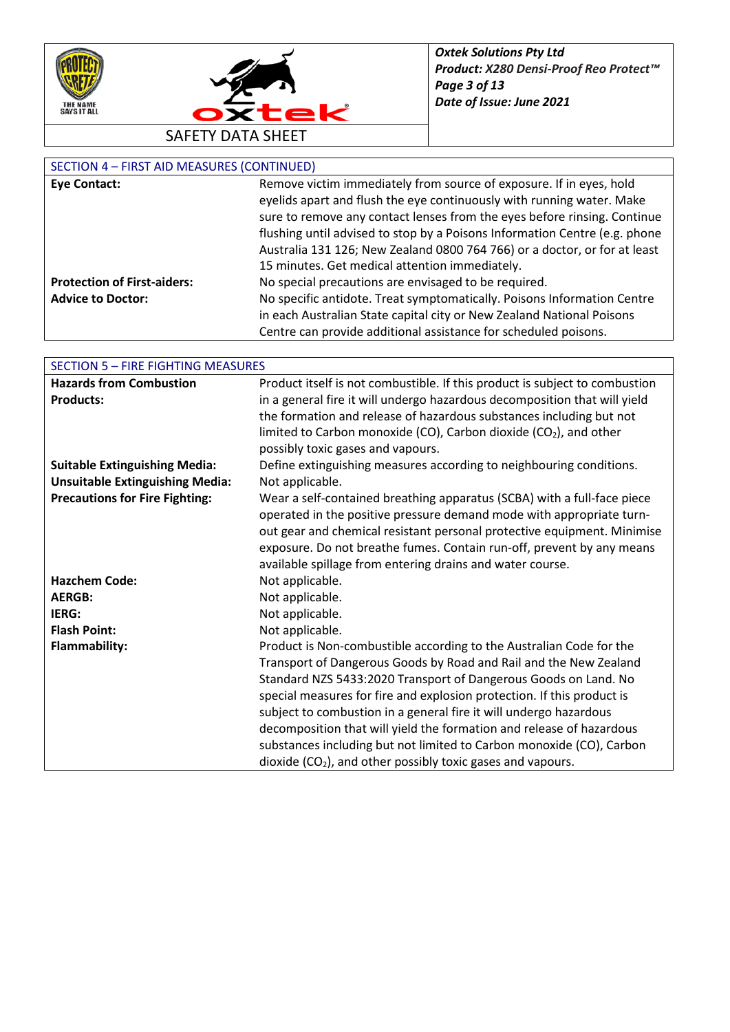



## SECTION 4 – FIRST AID MEASURES (CONTINUED)

| <b>Eye Contact:</b>                | Remove victim immediately from source of exposure. If in eyes, hold        |
|------------------------------------|----------------------------------------------------------------------------|
|                                    | eyelids apart and flush the eye continuously with running water. Make      |
|                                    | sure to remove any contact lenses from the eyes before rinsing. Continue   |
|                                    | flushing until advised to stop by a Poisons Information Centre (e.g. phone |
|                                    | Australia 131 126; New Zealand 0800 764 766) or a doctor, or for at least  |
|                                    | 15 minutes. Get medical attention immediately.                             |
| <b>Protection of First-aiders:</b> | No special precautions are envisaged to be required.                       |
| <b>Advice to Doctor:</b>           | No specific antidote. Treat symptomatically. Poisons Information Centre    |
|                                    | in each Australian State capital city or New Zealand National Poisons      |
|                                    | Centre can provide additional assistance for scheduled poisons.            |

| <b>SECTION 5 - FIRE FIGHTING MEASURES</b> |                                                                             |  |
|-------------------------------------------|-----------------------------------------------------------------------------|--|
| <b>Hazards from Combustion</b>            | Product itself is not combustible. If this product is subject to combustion |  |
| <b>Products:</b>                          | in a general fire it will undergo hazardous decomposition that will yield   |  |
|                                           | the formation and release of hazardous substances including but not         |  |
|                                           | limited to Carbon monoxide (CO), Carbon dioxide (CO2), and other            |  |
|                                           | possibly toxic gases and vapours.                                           |  |
| <b>Suitable Extinguishing Media:</b>      | Define extinguishing measures according to neighbouring conditions.         |  |
| <b>Unsuitable Extinguishing Media:</b>    | Not applicable.                                                             |  |
| <b>Precautions for Fire Fighting:</b>     | Wear a self-contained breathing apparatus (SCBA) with a full-face piece     |  |
|                                           | operated in the positive pressure demand mode with appropriate turn-        |  |
|                                           | out gear and chemical resistant personal protective equipment. Minimise     |  |
|                                           | exposure. Do not breathe fumes. Contain run-off, prevent by any means       |  |
|                                           | available spillage from entering drains and water course.                   |  |
| <b>Hazchem Code:</b>                      | Not applicable.                                                             |  |
| <b>AERGB:</b>                             | Not applicable.                                                             |  |
| IERG:                                     | Not applicable.                                                             |  |
| <b>Flash Point:</b>                       | Not applicable.                                                             |  |
| <b>Flammability:</b>                      | Product is Non-combustible according to the Australian Code for the         |  |
|                                           | Transport of Dangerous Goods by Road and Rail and the New Zealand           |  |
|                                           | Standard NZS 5433:2020 Transport of Dangerous Goods on Land. No             |  |
|                                           | special measures for fire and explosion protection. If this product is      |  |
|                                           | subject to combustion in a general fire it will undergo hazardous           |  |
|                                           | decomposition that will yield the formation and release of hazardous        |  |
|                                           | substances including but not limited to Carbon monoxide (CO), Carbon        |  |
|                                           | dioxide $(CO2)$ , and other possibly toxic gases and vapours.               |  |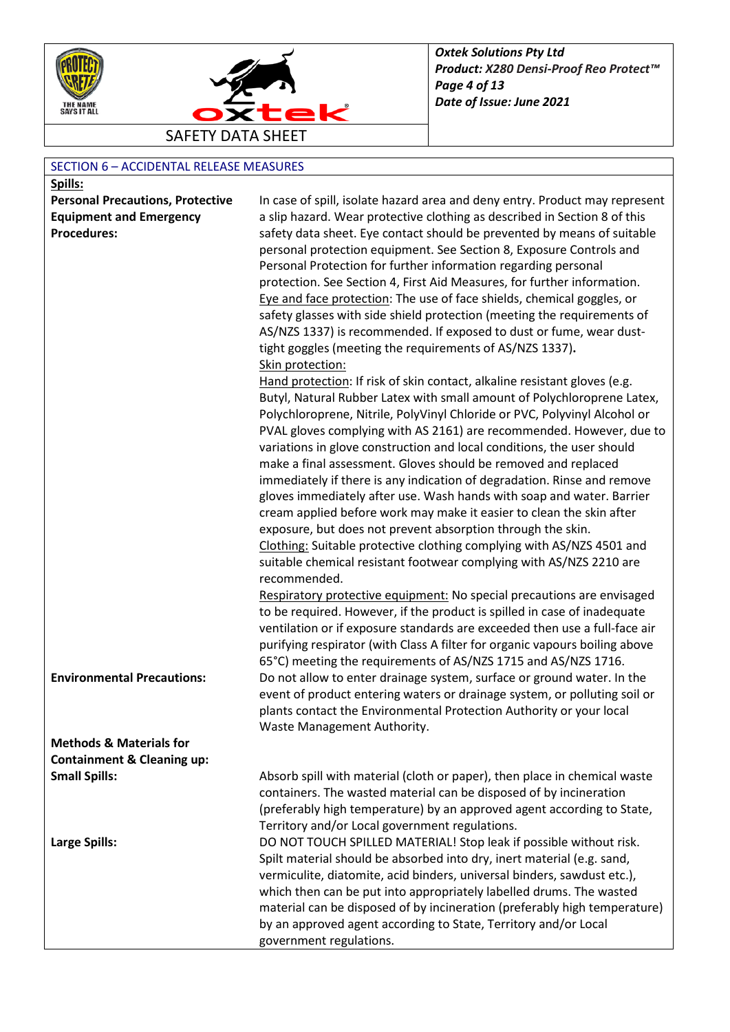



## SECTION 6 – ACCIDENTAL RELEASE MEASURES

| Spills:                                 |                                                                                                                                                                                                                                                                                                                                                                                                                                                                                                                                                                                                                                                                                                                                                                                                                                                                                                                                                                                                                                                                                                                                                                                                                                     |
|-----------------------------------------|-------------------------------------------------------------------------------------------------------------------------------------------------------------------------------------------------------------------------------------------------------------------------------------------------------------------------------------------------------------------------------------------------------------------------------------------------------------------------------------------------------------------------------------------------------------------------------------------------------------------------------------------------------------------------------------------------------------------------------------------------------------------------------------------------------------------------------------------------------------------------------------------------------------------------------------------------------------------------------------------------------------------------------------------------------------------------------------------------------------------------------------------------------------------------------------------------------------------------------------|
| <b>Personal Precautions, Protective</b> | In case of spill, isolate hazard area and deny entry. Product may represent                                                                                                                                                                                                                                                                                                                                                                                                                                                                                                                                                                                                                                                                                                                                                                                                                                                                                                                                                                                                                                                                                                                                                         |
| <b>Equipment and Emergency</b>          | a slip hazard. Wear protective clothing as described in Section 8 of this                                                                                                                                                                                                                                                                                                                                                                                                                                                                                                                                                                                                                                                                                                                                                                                                                                                                                                                                                                                                                                                                                                                                                           |
| <b>Procedures:</b>                      | safety data sheet. Eye contact should be prevented by means of suitable<br>personal protection equipment. See Section 8, Exposure Controls and<br>Personal Protection for further information regarding personal<br>protection. See Section 4, First Aid Measures, for further information.<br>Eye and face protection: The use of face shields, chemical goggles, or<br>safety glasses with side shield protection (meeting the requirements of<br>AS/NZS 1337) is recommended. If exposed to dust or fume, wear dust-                                                                                                                                                                                                                                                                                                                                                                                                                                                                                                                                                                                                                                                                                                             |
|                                         | tight goggles (meeting the requirements of AS/NZS 1337).<br>Skin protection:                                                                                                                                                                                                                                                                                                                                                                                                                                                                                                                                                                                                                                                                                                                                                                                                                                                                                                                                                                                                                                                                                                                                                        |
|                                         | Hand protection: If risk of skin contact, alkaline resistant gloves (e.g.<br>Butyl, Natural Rubber Latex with small amount of Polychloroprene Latex,<br>Polychloroprene, Nitrile, PolyVinyl Chloride or PVC, Polyvinyl Alcohol or<br>PVAL gloves complying with AS 2161) are recommended. However, due to<br>variations in glove construction and local conditions, the user should<br>make a final assessment. Gloves should be removed and replaced<br>immediately if there is any indication of degradation. Rinse and remove<br>gloves immediately after use. Wash hands with soap and water. Barrier<br>cream applied before work may make it easier to clean the skin after<br>exposure, but does not prevent absorption through the skin.<br>Clothing: Suitable protective clothing complying with AS/NZS 4501 and<br>suitable chemical resistant footwear complying with AS/NZS 2210 are<br>recommended.<br>Respiratory protective equipment: No special precautions are envisaged<br>to be required. However, if the product is spilled in case of inadequate<br>ventilation or if exposure standards are exceeded then use a full-face air<br>purifying respirator (with Class A filter for organic vapours boiling above |
| <b>Environmental Precautions:</b>       | 65°C) meeting the requirements of AS/NZS 1715 and AS/NZS 1716.<br>Do not allow to enter drainage system, surface or ground water. In the<br>event of product entering waters or drainage system, or polluting soil or<br>plants contact the Environmental Protection Authority or your local<br>Waste Management Authority.                                                                                                                                                                                                                                                                                                                                                                                                                                                                                                                                                                                                                                                                                                                                                                                                                                                                                                         |
| <b>Methods &amp; Materials for</b>      |                                                                                                                                                                                                                                                                                                                                                                                                                                                                                                                                                                                                                                                                                                                                                                                                                                                                                                                                                                                                                                                                                                                                                                                                                                     |
| <b>Containment &amp; Cleaning up:</b>   |                                                                                                                                                                                                                                                                                                                                                                                                                                                                                                                                                                                                                                                                                                                                                                                                                                                                                                                                                                                                                                                                                                                                                                                                                                     |
| <b>Small Spills:</b>                    | Absorb spill with material (cloth or paper), then place in chemical waste<br>containers. The wasted material can be disposed of by incineration<br>(preferably high temperature) by an approved agent according to State,<br>Territory and/or Local government regulations.                                                                                                                                                                                                                                                                                                                                                                                                                                                                                                                                                                                                                                                                                                                                                                                                                                                                                                                                                         |
| <b>Large Spills:</b>                    | DO NOT TOUCH SPILLED MATERIAL! Stop leak if possible without risk.<br>Spilt material should be absorbed into dry, inert material (e.g. sand,<br>vermiculite, diatomite, acid binders, universal binders, sawdust etc.),<br>which then can be put into appropriately labelled drums. The wasted<br>material can be disposed of by incineration (preferably high temperature)<br>by an approved agent according to State, Territory and/or Local<br>government regulations.                                                                                                                                                                                                                                                                                                                                                                                                                                                                                                                                                                                                                                                                                                                                                           |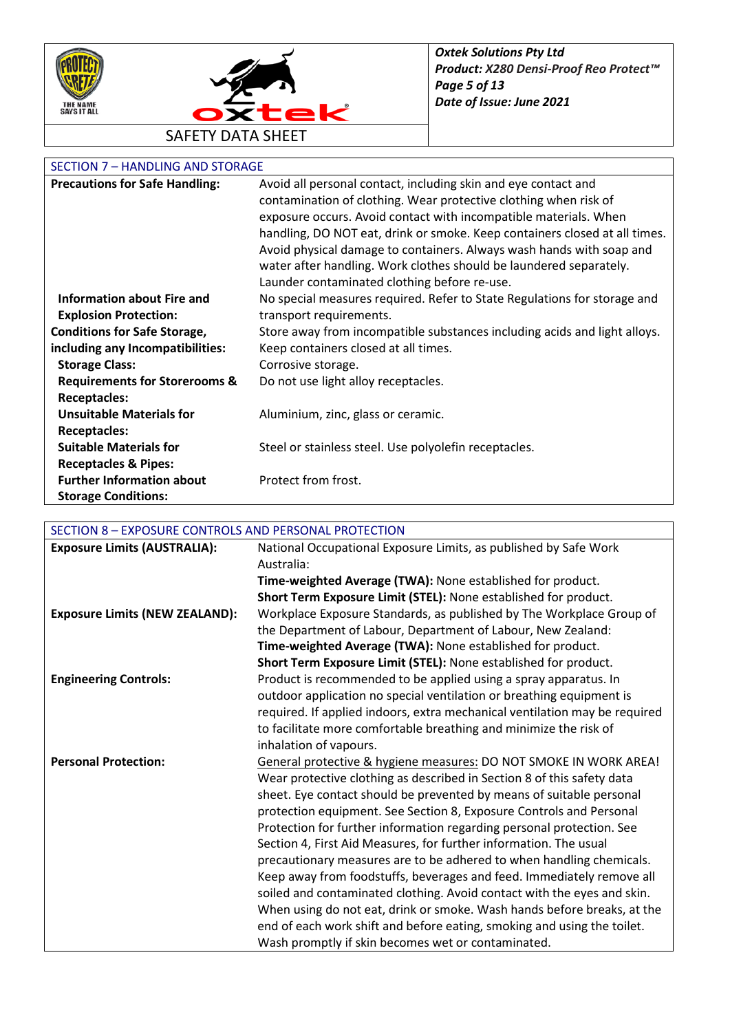



## SECTION 7 – HANDLING AND STORAGE

| <b>Precautions for Safe Handling:</b>    | Avoid all personal contact, including skin and eye contact and             |
|------------------------------------------|----------------------------------------------------------------------------|
|                                          | contamination of clothing. Wear protective clothing when risk of           |
|                                          | exposure occurs. Avoid contact with incompatible materials. When           |
|                                          | handling, DO NOT eat, drink or smoke. Keep containers closed at all times. |
|                                          | Avoid physical damage to containers. Always wash hands with soap and       |
|                                          | water after handling. Work clothes should be laundered separately.         |
|                                          | Launder contaminated clothing before re-use.                               |
| Information about Fire and               | No special measures required. Refer to State Regulations for storage and   |
| <b>Explosion Protection:</b>             | transport requirements.                                                    |
| <b>Conditions for Safe Storage,</b>      | Store away from incompatible substances including acids and light alloys.  |
| including any Incompatibilities:         | Keep containers closed at all times.                                       |
| <b>Storage Class:</b>                    | Corrosive storage.                                                         |
| <b>Requirements for Storerooms &amp;</b> | Do not use light alloy receptacles.                                        |
| <b>Receptacles:</b>                      |                                                                            |
| <b>Unsuitable Materials for</b>          | Aluminium, zinc, glass or ceramic.                                         |
| <b>Receptacles:</b>                      |                                                                            |
| <b>Suitable Materials for</b>            | Steel or stainless steel. Use polyolefin receptacles.                      |
| <b>Receptacles &amp; Pipes:</b>          |                                                                            |
| <b>Further Information about</b>         | Protect from frost.                                                        |
| <b>Storage Conditions:</b>               |                                                                            |

# SECTION 8 – EXPOSURE CONTROLS AND PERSONAL PROTECTION

| <b>Exposure Limits (AUSTRALIA):</b>   | National Occupational Exposure Limits, as published by Safe Work           |
|---------------------------------------|----------------------------------------------------------------------------|
|                                       | Australia:                                                                 |
|                                       | Time-weighted Average (TWA): None established for product.                 |
|                                       | Short Term Exposure Limit (STEL): None established for product.            |
| <b>Exposure Limits (NEW ZEALAND):</b> | Workplace Exposure Standards, as published by The Workplace Group of       |
|                                       | the Department of Labour, Department of Labour, New Zealand:               |
|                                       | Time-weighted Average (TWA): None established for product.                 |
|                                       | Short Term Exposure Limit (STEL): None established for product.            |
| <b>Engineering Controls:</b>          | Product is recommended to be applied using a spray apparatus. In           |
|                                       | outdoor application no special ventilation or breathing equipment is       |
|                                       | required. If applied indoors, extra mechanical ventilation may be required |
|                                       | to facilitate more comfortable breathing and minimize the risk of          |
|                                       | inhalation of vapours.                                                     |
| <b>Personal Protection:</b>           | General protective & hygiene measures: DO NOT SMOKE IN WORK AREA!          |
|                                       | Wear protective clothing as described in Section 8 of this safety data     |
|                                       | sheet. Eye contact should be prevented by means of suitable personal       |
|                                       | protection equipment. See Section 8, Exposure Controls and Personal        |
|                                       | Protection for further information regarding personal protection. See      |
|                                       | Section 4, First Aid Measures, for further information. The usual          |
|                                       | precautionary measures are to be adhered to when handling chemicals.       |
|                                       | Keep away from foodstuffs, beverages and feed. Immediately remove all      |
|                                       | soiled and contaminated clothing. Avoid contact with the eyes and skin.    |
|                                       | When using do not eat, drink or smoke. Wash hands before breaks, at the    |
|                                       | end of each work shift and before eating, smoking and using the toilet.    |
|                                       | Wash promptly if skin becomes wet or contaminated.                         |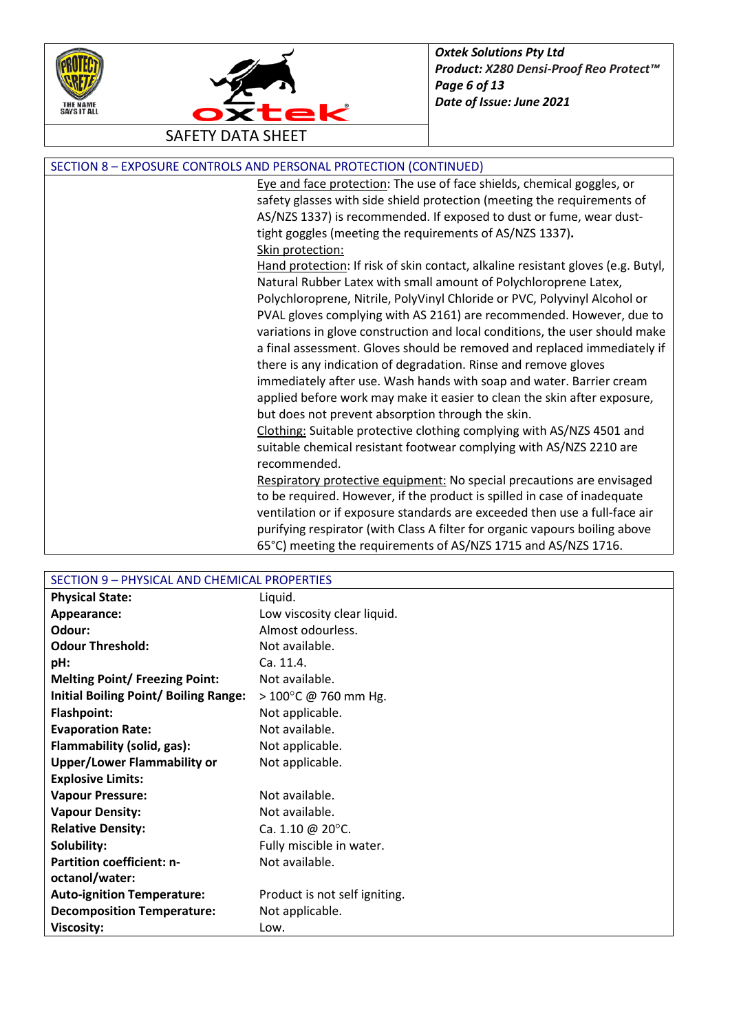



SAFETY DATA SHEET

| SECTION 8 - EXPOSURE CONTROLS AND PERSONAL PROTECTION (CONTINUED) |  |  |
|-------------------------------------------------------------------|--|--|
|                                                                   |  |  |

Eye and face protection: The use of face shields, chemical goggles, or safety glasses with side shield protection (meeting the requirements of AS/NZS 1337) is recommended. If exposed to dust or fume, wear dusttight goggles (meeting the requirements of AS/NZS 1337)**.** Skin protection:

Hand protection: If risk of skin contact, alkaline resistant gloves (e.g. Butyl, Natural Rubber Latex with small amount of Polychloroprene Latex, Polychloroprene, Nitrile, PolyVinyl Chloride or PVC, Polyvinyl Alcohol or PVAL gloves complying with AS 2161) are recommended. However, due to variations in glove construction and local conditions, the user should make a final assessment. Gloves should be removed and replaced immediately if there is any indication of degradation. Rinse and remove gloves immediately after use. Wash hands with soap and water. Barrier cream applied before work may make it easier to clean the skin after exposure, but does not prevent absorption through the skin.

Clothing: Suitable protective clothing complying with AS/NZS 4501 and suitable chemical resistant footwear complying with AS/NZS 2210 are recommended.

Respiratory protective equipment: No special precautions are envisaged to be required. However, if the product is spilled in case of inadequate ventilation or if exposure standards are exceeded then use a full-face air purifying respirator (with Class A filter for organic vapours boiling above 65°C) meeting the requirements of AS/NZS 1715 and AS/NZS 1716.

| SECTION 9 - PHYSICAL AND CHEMICAL PROPERTIES |                                |  |
|----------------------------------------------|--------------------------------|--|
| <b>Physical State:</b>                       | Liquid.                        |  |
| Appearance:                                  | Low viscosity clear liquid.    |  |
| Odour:                                       | Almost odourless.              |  |
| <b>Odour Threshold:</b>                      | Not available.                 |  |
| pH:                                          | Ca. 11.4.                      |  |
| <b>Melting Point/ Freezing Point:</b>        | Not available.                 |  |
| <b>Initial Boiling Point/ Boiling Range:</b> | $> 100^{\circ}$ C @ 760 mm Hg. |  |
| <b>Flashpoint:</b>                           | Not applicable.                |  |
| <b>Evaporation Rate:</b>                     | Not available.                 |  |
| Flammability (solid, gas):                   | Not applicable.                |  |
| <b>Upper/Lower Flammability or</b>           | Not applicable.                |  |
| <b>Explosive Limits:</b>                     |                                |  |
| <b>Vapour Pressure:</b>                      | Not available.                 |  |
| <b>Vapour Density:</b>                       | Not available.                 |  |
| <b>Relative Density:</b>                     | Ca. 1.10 @ 20 $^{\circ}$ C.    |  |
| Solubility:                                  | Fully miscible in water.       |  |
| <b>Partition coefficient: n-</b>             | Not available.                 |  |
| octanol/water:                               |                                |  |
| <b>Auto-ignition Temperature:</b>            | Product is not self igniting.  |  |
| <b>Decomposition Temperature:</b>            | Not applicable.                |  |
| <b>Viscosity:</b>                            | Low.                           |  |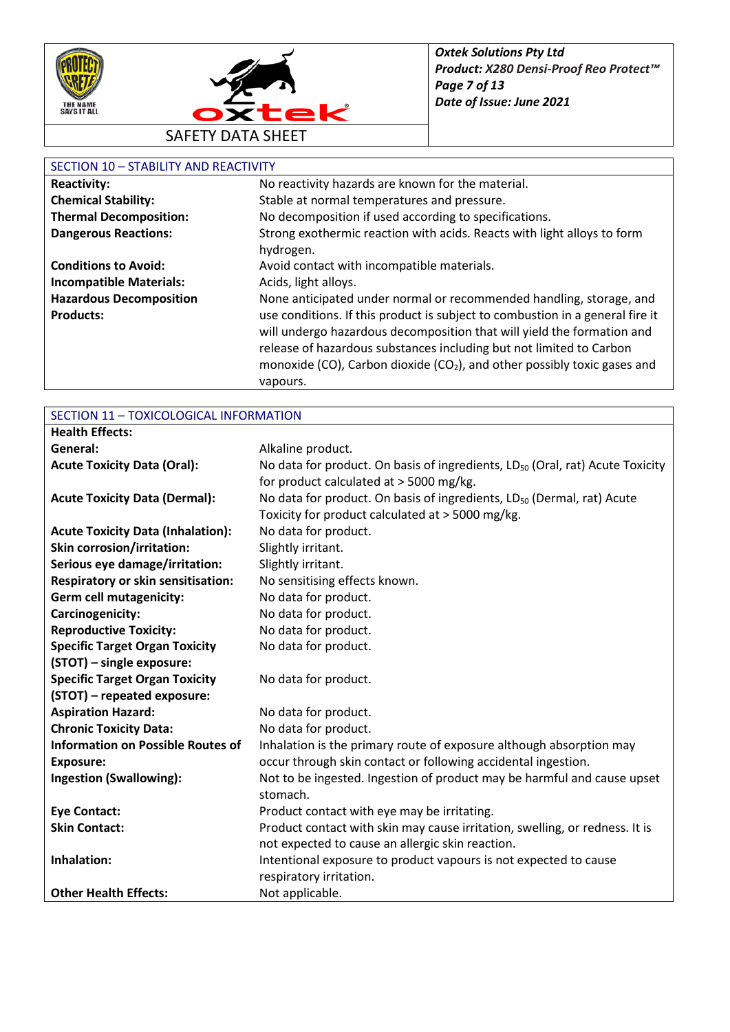



#### SECTION 10 – STABILITY AND REACTIVITY

| <b>Reactivity:</b>             | No reactivity hazards are known for the material.                                                                                                       |
|--------------------------------|---------------------------------------------------------------------------------------------------------------------------------------------------------|
| <b>Chemical Stability:</b>     | Stable at normal temperatures and pressure.                                                                                                             |
| <b>Thermal Decomposition:</b>  | No decomposition if used according to specifications.                                                                                                   |
| <b>Dangerous Reactions:</b>    | Strong exothermic reaction with acids. Reacts with light alloys to form                                                                                 |
|                                | hydrogen.                                                                                                                                               |
| <b>Conditions to Avoid:</b>    | Avoid contact with incompatible materials.                                                                                                              |
| <b>Incompatible Materials:</b> | Acids, light alloys.                                                                                                                                    |
| <b>Hazardous Decomposition</b> | None anticipated under normal or recommended handling, storage, and                                                                                     |
| <b>Products:</b>               | use conditions. If this product is subject to combustion in a general fire it<br>will undergo hazardous decomposition that will yield the formation and |
|                                | release of hazardous substances including but not limited to Carbon                                                                                     |
|                                | monoxide (CO), Carbon dioxide (CO <sub>2</sub> ), and other possibly toxic gases and                                                                    |
|                                | vapours.                                                                                                                                                |

## SECTION 11 – TOXICOLOGICAL INFORMATION

| <b>Health Effects:</b>                    |                                                                                           |
|-------------------------------------------|-------------------------------------------------------------------------------------------|
| General:                                  | Alkaline product.                                                                         |
| <b>Acute Toxicity Data (Oral):</b>        | No data for product. On basis of ingredients, LD <sub>50</sub> (Oral, rat) Acute Toxicity |
|                                           | for product calculated at > 5000 mg/kg.                                                   |
| <b>Acute Toxicity Data (Dermal):</b>      | No data for product. On basis of ingredients, LD <sub>50</sub> (Dermal, rat) Acute        |
|                                           | Toxicity for product calculated at > 5000 mg/kg.                                          |
| <b>Acute Toxicity Data (Inhalation):</b>  | No data for product.                                                                      |
| Skin corrosion/irritation:                | Slightly irritant.                                                                        |
| Serious eye damage/irritation:            | Slightly irritant.                                                                        |
| <b>Respiratory or skin sensitisation:</b> | No sensitising effects known.                                                             |
| Germ cell mutagenicity:                   | No data for product.                                                                      |
| Carcinogenicity:                          | No data for product.                                                                      |
| <b>Reproductive Toxicity:</b>             | No data for product.                                                                      |
| <b>Specific Target Organ Toxicity</b>     | No data for product.                                                                      |
| (STOT) - single exposure:                 |                                                                                           |
| <b>Specific Target Organ Toxicity</b>     | No data for product.                                                                      |
| (STOT) - repeated exposure:               |                                                                                           |
| <b>Aspiration Hazard:</b>                 | No data for product.                                                                      |
| <b>Chronic Toxicity Data:</b>             | No data for product.                                                                      |
| <b>Information on Possible Routes of</b>  | Inhalation is the primary route of exposure although absorption may                       |
| <b>Exposure:</b>                          | occur through skin contact or following accidental ingestion.                             |
| <b>Ingestion (Swallowing):</b>            | Not to be ingested. Ingestion of product may be harmful and cause upset                   |
|                                           | stomach.                                                                                  |
| <b>Eye Contact:</b>                       | Product contact with eye may be irritating.                                               |
| <b>Skin Contact:</b>                      | Product contact with skin may cause irritation, swelling, or redness. It is               |
|                                           | not expected to cause an allergic skin reaction.                                          |
| Inhalation:                               | Intentional exposure to product vapours is not expected to cause                          |
|                                           | respiratory irritation.                                                                   |
| <b>Other Health Effects:</b>              | Not applicable.                                                                           |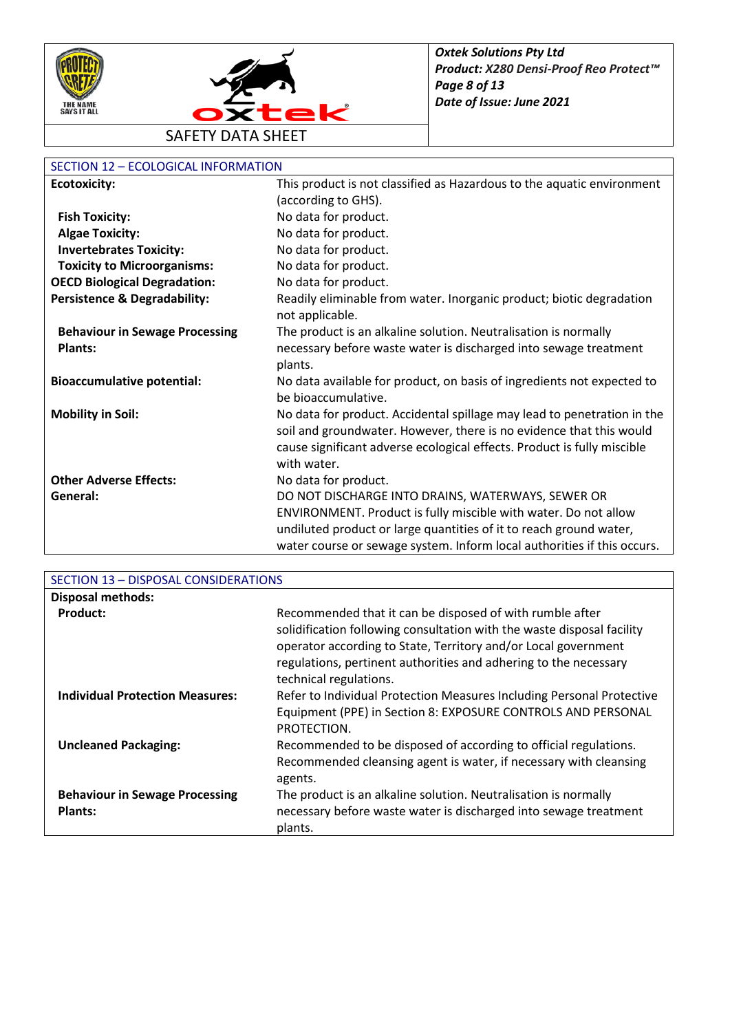



## SECTION 12 – ECOLOGICAL INFORMATION

| <b>Ecotoxicity:</b>                     | This product is not classified as Hazardous to the aquatic environment                        |
|-----------------------------------------|-----------------------------------------------------------------------------------------------|
|                                         | (according to GHS).                                                                           |
| <b>Fish Toxicity:</b>                   | No data for product.                                                                          |
| <b>Algae Toxicity:</b>                  | No data for product.                                                                          |
| <b>Invertebrates Toxicity:</b>          | No data for product.                                                                          |
| <b>Toxicity to Microorganisms:</b>      | No data for product.                                                                          |
| <b>OECD Biological Degradation:</b>     | No data for product.                                                                          |
| <b>Persistence &amp; Degradability:</b> | Readily eliminable from water. Inorganic product; biotic degradation<br>not applicable.       |
| <b>Behaviour in Sewage Processing</b>   | The product is an alkaline solution. Neutralisation is normally                               |
| <b>Plants:</b>                          | necessary before waste water is discharged into sewage treatment                              |
|                                         | plants.                                                                                       |
| <b>Bioaccumulative potential:</b>       | No data available for product, on basis of ingredients not expected to<br>be bioaccumulative. |
| <b>Mobility in Soil:</b>                | No data for product. Accidental spillage may lead to penetration in the                       |
|                                         | soil and groundwater. However, there is no evidence that this would                           |
|                                         | cause significant adverse ecological effects. Product is fully miscible                       |
|                                         | with water.                                                                                   |
| <b>Other Adverse Effects:</b>           | No data for product.                                                                          |
| General:                                | DO NOT DISCHARGE INTO DRAINS, WATERWAYS, SEWER OR                                             |
|                                         | ENVIRONMENT. Product is fully miscible with water. Do not allow                               |
|                                         | undiluted product or large quantities of it to reach ground water,                            |
|                                         | water course or sewage system. Inform local authorities if this occurs.                       |

| SECTION 13 - DISPOSAL CONSIDERATIONS                    |                                                                                                                                                                                                                                                                                                    |
|---------------------------------------------------------|----------------------------------------------------------------------------------------------------------------------------------------------------------------------------------------------------------------------------------------------------------------------------------------------------|
| <b>Disposal methods:</b>                                |                                                                                                                                                                                                                                                                                                    |
| Product:                                                | Recommended that it can be disposed of with rumble after<br>solidification following consultation with the waste disposal facility<br>operator according to State, Territory and/or Local government<br>regulations, pertinent authorities and adhering to the necessary<br>technical regulations. |
| <b>Individual Protection Measures:</b>                  | Refer to Individual Protection Measures Including Personal Protective<br>Equipment (PPE) in Section 8: EXPOSURE CONTROLS AND PERSONAL<br>PROTECTION.                                                                                                                                               |
| <b>Uncleaned Packaging:</b>                             | Recommended to be disposed of according to official regulations.<br>Recommended cleansing agent is water, if necessary with cleansing<br>agents.                                                                                                                                                   |
| <b>Behaviour in Sewage Processing</b><br><b>Plants:</b> | The product is an alkaline solution. Neutralisation is normally<br>necessary before waste water is discharged into sewage treatment<br>plants.                                                                                                                                                     |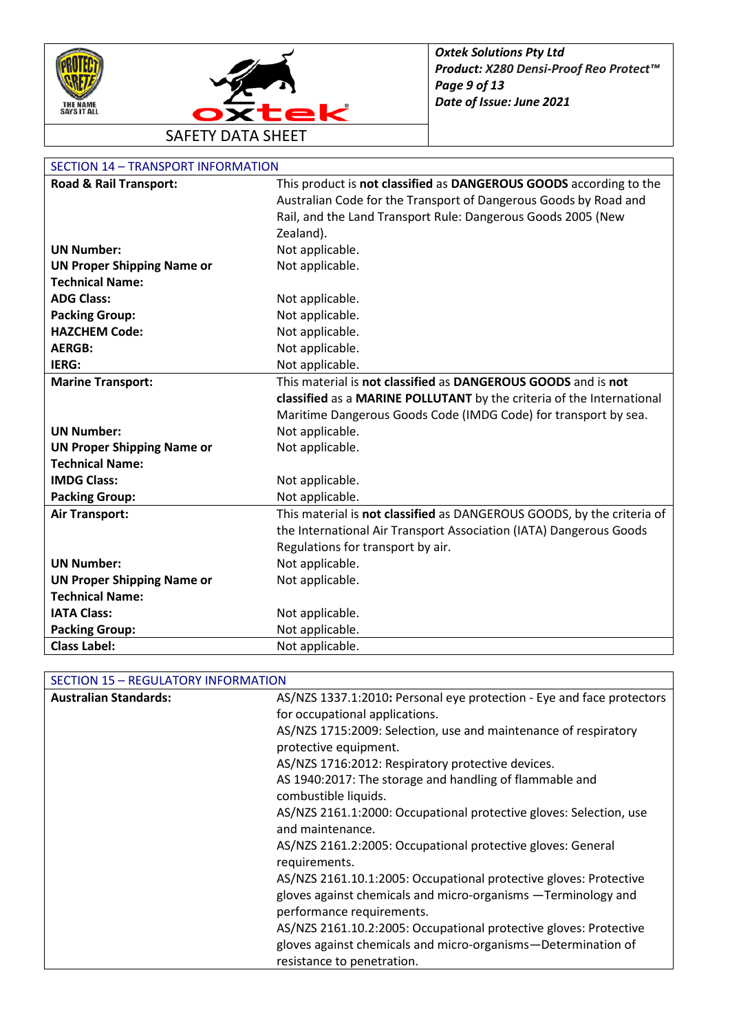



### SECTION 14 – TRANSPORT INFORMATION

| Road & Rail Transport:            | This product is not classified as DANGEROUS GOODS according to the     |
|-----------------------------------|------------------------------------------------------------------------|
|                                   | Australian Code for the Transport of Dangerous Goods by Road and       |
|                                   | Rail, and the Land Transport Rule: Dangerous Goods 2005 (New           |
|                                   | Zealand).                                                              |
| <b>UN Number:</b>                 | Not applicable.                                                        |
| <b>UN Proper Shipping Name or</b> | Not applicable.                                                        |
| <b>Technical Name:</b>            |                                                                        |
| <b>ADG Class:</b>                 | Not applicable.                                                        |
| <b>Packing Group:</b>             | Not applicable.                                                        |
| <b>HAZCHEM Code:</b>              | Not applicable.                                                        |
| <b>AERGB:</b>                     | Not applicable.                                                        |
| IERG:                             | Not applicable.                                                        |
| <b>Marine Transport:</b>          | This material is not classified as DANGEROUS GOODS and is not          |
|                                   | classified as a MARINE POLLUTANT by the criteria of the International  |
|                                   | Maritime Dangerous Goods Code (IMDG Code) for transport by sea.        |
| <b>UN Number:</b>                 | Not applicable.                                                        |
| <b>UN Proper Shipping Name or</b> | Not applicable.                                                        |
| <b>Technical Name:</b>            |                                                                        |
| <b>IMDG Class:</b>                | Not applicable.                                                        |
| <b>Packing Group:</b>             | Not applicable.                                                        |
| <b>Air Transport:</b>             | This material is not classified as DANGEROUS GOODS, by the criteria of |
|                                   | the International Air Transport Association (IATA) Dangerous Goods     |
|                                   | Regulations for transport by air.                                      |
| <b>UN Number:</b>                 | Not applicable.                                                        |
| <b>UN Proper Shipping Name or</b> | Not applicable.                                                        |
| <b>Technical Name:</b>            |                                                                        |
| <b>IATA Class:</b>                | Not applicable.                                                        |
| <b>Packing Group:</b>             | Not applicable.                                                        |
| <b>Class Label:</b>               | Not applicable.                                                        |

## SECTION 15 – REGULATORY INFORMATION

| <b>Australian Standards:</b> | AS/NZS 1337.1:2010: Personal eye protection - Eye and face protectors |
|------------------------------|-----------------------------------------------------------------------|
|                              | for occupational applications.                                        |
|                              | AS/NZS 1715:2009: Selection, use and maintenance of respiratory       |
|                              | protective equipment.                                                 |
|                              | AS/NZS 1716:2012: Respiratory protective devices.                     |
|                              | AS 1940:2017: The storage and handling of flammable and               |
|                              | combustible liquids.                                                  |
|                              | AS/NZS 2161.1:2000: Occupational protective gloves: Selection, use    |
|                              | and maintenance.                                                      |
|                              | AS/NZS 2161.2:2005: Occupational protective gloves: General           |
|                              | requirements.                                                         |
|                              | AS/NZS 2161.10.1:2005: Occupational protective gloves: Protective     |
|                              | gloves against chemicals and micro-organisms -Terminology and         |
|                              | performance requirements.                                             |
|                              | AS/NZS 2161.10.2:2005: Occupational protective gloves: Protective     |
|                              | gloves against chemicals and micro-organisms-Determination of         |
|                              | resistance to penetration.                                            |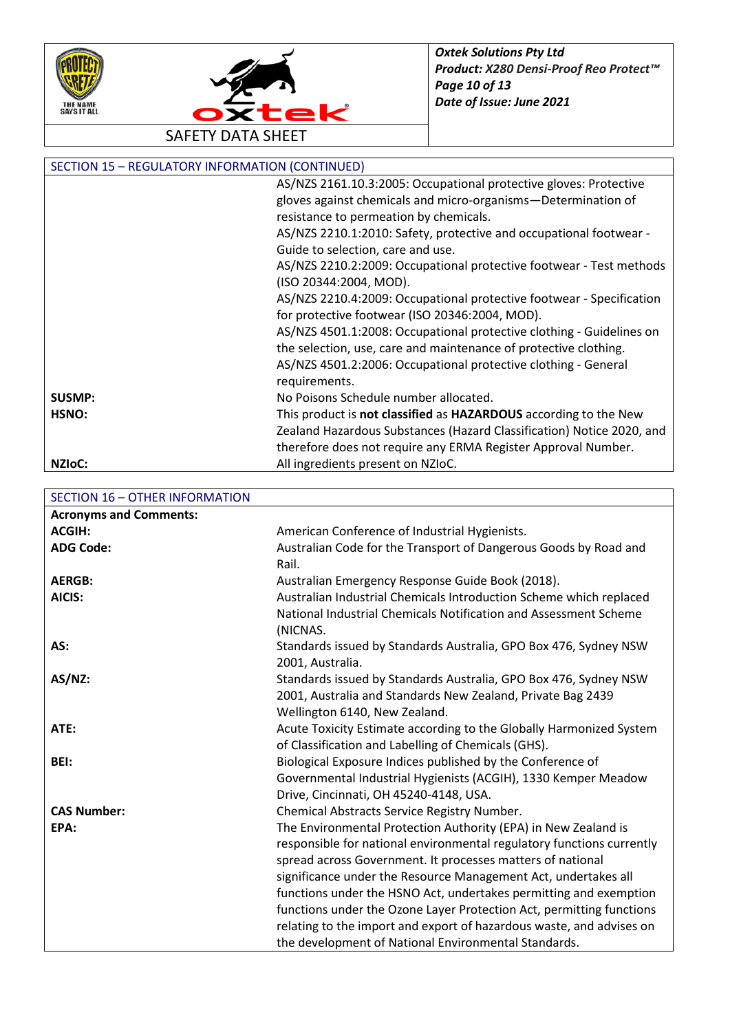



| <b>SECTION 15 - REGULATORY INFORMATION (CONTINUED)</b> |                                                                       |
|--------------------------------------------------------|-----------------------------------------------------------------------|
|                                                        | AS/NZS 2161.10.3:2005: Occupational protective gloves: Protective     |
|                                                        | gloves against chemicals and micro-organisms-Determination of         |
|                                                        | resistance to permeation by chemicals.                                |
|                                                        | AS/NZS 2210.1:2010: Safety, protective and occupational footwear -    |
|                                                        | Guide to selection, care and use.                                     |
|                                                        | AS/NZS 2210.2:2009: Occupational protective footwear - Test methods   |
|                                                        | (ISO 20344:2004, MOD).                                                |
|                                                        | AS/NZS 2210.4:2009: Occupational protective footwear - Specification  |
|                                                        | for protective footwear (ISO 20346:2004, MOD).                        |
|                                                        | AS/NZS 4501.1:2008: Occupational protective clothing - Guidelines on  |
|                                                        | the selection, use, care and maintenance of protective clothing.      |
|                                                        | AS/NZS 4501.2:2006: Occupational protective clothing - General        |
|                                                        | requirements.                                                         |
| SUSMP:                                                 | No Poisons Schedule number allocated.                                 |
| HSNO:                                                  | This product is not classified as HAZARDOUS according to the New      |
|                                                        | Zealand Hazardous Substances (Hazard Classification) Notice 2020, and |
|                                                        | therefore does not require any ERMA Register Approval Number.         |
| NZI <sub>o</sub> C:                                    | All ingredients present on NZIoC.                                     |

| <b>SECTION 16 - OTHER INFORMATION</b> |                                                                                                                                                                                                                                                                                                                                                                                                                                                                                              |
|---------------------------------------|----------------------------------------------------------------------------------------------------------------------------------------------------------------------------------------------------------------------------------------------------------------------------------------------------------------------------------------------------------------------------------------------------------------------------------------------------------------------------------------------|
| <b>Acronyms and Comments:</b>         |                                                                                                                                                                                                                                                                                                                                                                                                                                                                                              |
| <b>ACGIH:</b>                         | American Conference of Industrial Hygienists.                                                                                                                                                                                                                                                                                                                                                                                                                                                |
| <b>ADG Code:</b>                      | Australian Code for the Transport of Dangerous Goods by Road and<br>Rail.                                                                                                                                                                                                                                                                                                                                                                                                                    |
| <b>AERGB:</b>                         |                                                                                                                                                                                                                                                                                                                                                                                                                                                                                              |
|                                       | Australian Emergency Response Guide Book (2018).                                                                                                                                                                                                                                                                                                                                                                                                                                             |
| AICIS:                                | Australian Industrial Chemicals Introduction Scheme which replaced<br>National Industrial Chemicals Notification and Assessment Scheme<br>(NICNAS.                                                                                                                                                                                                                                                                                                                                           |
| AS:                                   | Standards issued by Standards Australia, GPO Box 476, Sydney NSW<br>2001, Australia.                                                                                                                                                                                                                                                                                                                                                                                                         |
| AS/NZ:                                | Standards issued by Standards Australia, GPO Box 476, Sydney NSW<br>2001, Australia and Standards New Zealand, Private Bag 2439<br>Wellington 6140, New Zealand.                                                                                                                                                                                                                                                                                                                             |
| ATE:                                  | Acute Toxicity Estimate according to the Globally Harmonized System<br>of Classification and Labelling of Chemicals (GHS).                                                                                                                                                                                                                                                                                                                                                                   |
| BEI:                                  | Biological Exposure Indices published by the Conference of<br>Governmental Industrial Hygienists (ACGIH), 1330 Kemper Meadow<br>Drive, Cincinnati, OH 45240-4148, USA.                                                                                                                                                                                                                                                                                                                       |
| <b>CAS Number:</b>                    | Chemical Abstracts Service Registry Number.                                                                                                                                                                                                                                                                                                                                                                                                                                                  |
| EPA:                                  | The Environmental Protection Authority (EPA) in New Zealand is<br>responsible for national environmental regulatory functions currently<br>spread across Government. It processes matters of national<br>significance under the Resource Management Act, undertakes all<br>functions under the HSNO Act, undertakes permitting and exemption<br>functions under the Ozone Layer Protection Act, permitting functions<br>relating to the import and export of hazardous waste, and advises on |
|                                       | the development of National Environmental Standards.                                                                                                                                                                                                                                                                                                                                                                                                                                         |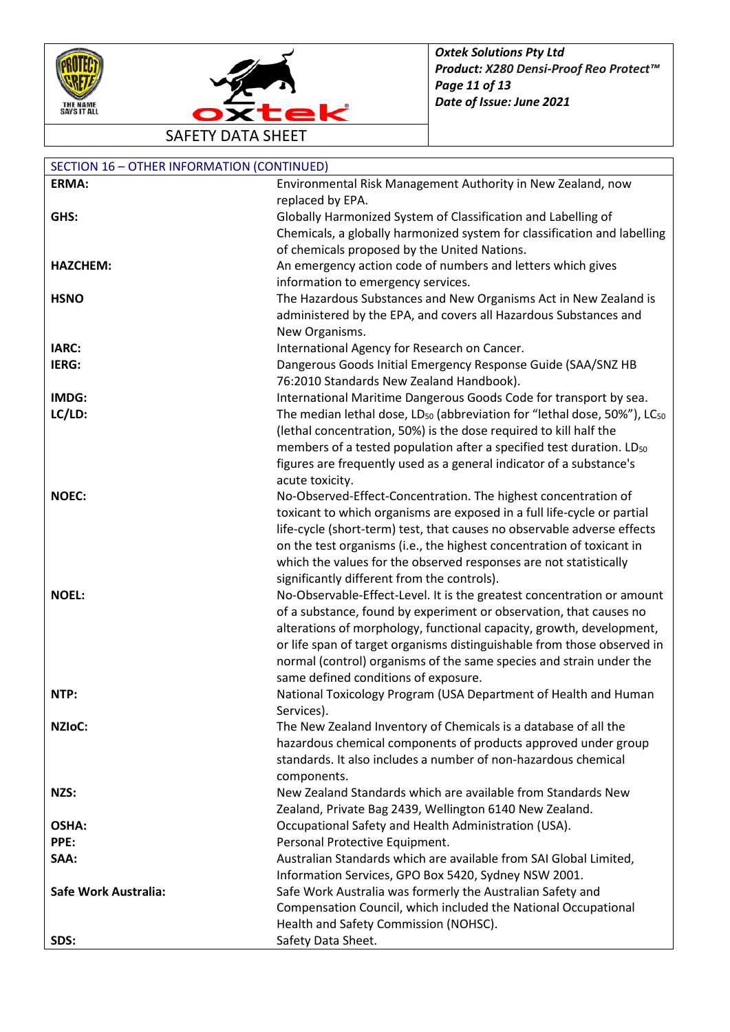



SAFETY DATA SHEET

| <b>SECTION 16 - OTHER INFORMATION (CONTINUED)</b> |                                                                                                  |
|---------------------------------------------------|--------------------------------------------------------------------------------------------------|
| <b>ERMA:</b>                                      | Environmental Risk Management Authority in New Zealand, now                                      |
|                                                   | replaced by EPA.                                                                                 |
| GHS:                                              | Globally Harmonized System of Classification and Labelling of                                    |
|                                                   | Chemicals, a globally harmonized system for classification and labelling                         |
|                                                   | of chemicals proposed by the United Nations.                                                     |
| <b>HAZCHEM:</b>                                   | An emergency action code of numbers and letters which gives                                      |
|                                                   | information to emergency services.                                                               |
| <b>HSNO</b>                                       | The Hazardous Substances and New Organisms Act in New Zealand is                                 |
|                                                   | administered by the EPA, and covers all Hazardous Substances and                                 |
|                                                   | New Organisms.                                                                                   |
| IARC:                                             | International Agency for Research on Cancer.                                                     |
| IERG:                                             | Dangerous Goods Initial Emergency Response Guide (SAA/SNZ HB                                     |
|                                                   | 76:2010 Standards New Zealand Handbook).                                                         |
| IMDG:                                             | International Maritime Dangerous Goods Code for transport by sea.                                |
| LC/LD:                                            | The median lethal dose, LD <sub>50</sub> (abbreviation for "lethal dose, 50%"), LC <sub>50</sub> |
|                                                   | (lethal concentration, 50%) is the dose required to kill half the                                |
|                                                   | members of a tested population after a specified test duration. LD <sub>50</sub>                 |
|                                                   | figures are frequently used as a general indicator of a substance's                              |
|                                                   | acute toxicity.                                                                                  |
| <b>NOEC:</b>                                      | No-Observed-Effect-Concentration. The highest concentration of                                   |
|                                                   | toxicant to which organisms are exposed in a full life-cycle or partial                          |
|                                                   | life-cycle (short-term) test, that causes no observable adverse effects                          |
|                                                   | on the test organisms (i.e., the highest concentration of toxicant in                            |
|                                                   | which the values for the observed responses are not statistically                                |
|                                                   | significantly different from the controls).                                                      |
| <b>NOEL:</b>                                      | No-Observable-Effect-Level. It is the greatest concentration or amount                           |
|                                                   | of a substance, found by experiment or observation, that causes no                               |
|                                                   | alterations of morphology, functional capacity, growth, development,                             |
|                                                   | or life span of target organisms distinguishable from those observed in                          |
|                                                   | normal (control) organisms of the same species and strain under the                              |
|                                                   | same defined conditions of exposure.                                                             |
| NTP:                                              | National Toxicology Program (USA Department of Health and Human                                  |
|                                                   | Services).                                                                                       |
| <b>NZIOC:</b>                                     | The New Zealand Inventory of Chemicals is a database of all the                                  |
|                                                   | hazardous chemical components of products approved under group                                   |
|                                                   | standards. It also includes a number of non-hazardous chemical                                   |
|                                                   | components.                                                                                      |
| NZS:                                              | New Zealand Standards which are available from Standards New                                     |
|                                                   | Zealand, Private Bag 2439, Wellington 6140 New Zealand.                                          |
| OSHA:                                             | Occupational Safety and Health Administration (USA).                                             |
| PPE:                                              | Personal Protective Equipment.                                                                   |
| SAA:                                              | Australian Standards which are available from SAI Global Limited,                                |
|                                                   | Information Services, GPO Box 5420, Sydney NSW 2001.                                             |
| Safe Work Australia:                              | Safe Work Australia was formerly the Australian Safety and                                       |
|                                                   | Compensation Council, which included the National Occupational                                   |
|                                                   | Health and Safety Commission (NOHSC).                                                            |
| SDS:                                              | Safety Data Sheet.                                                                               |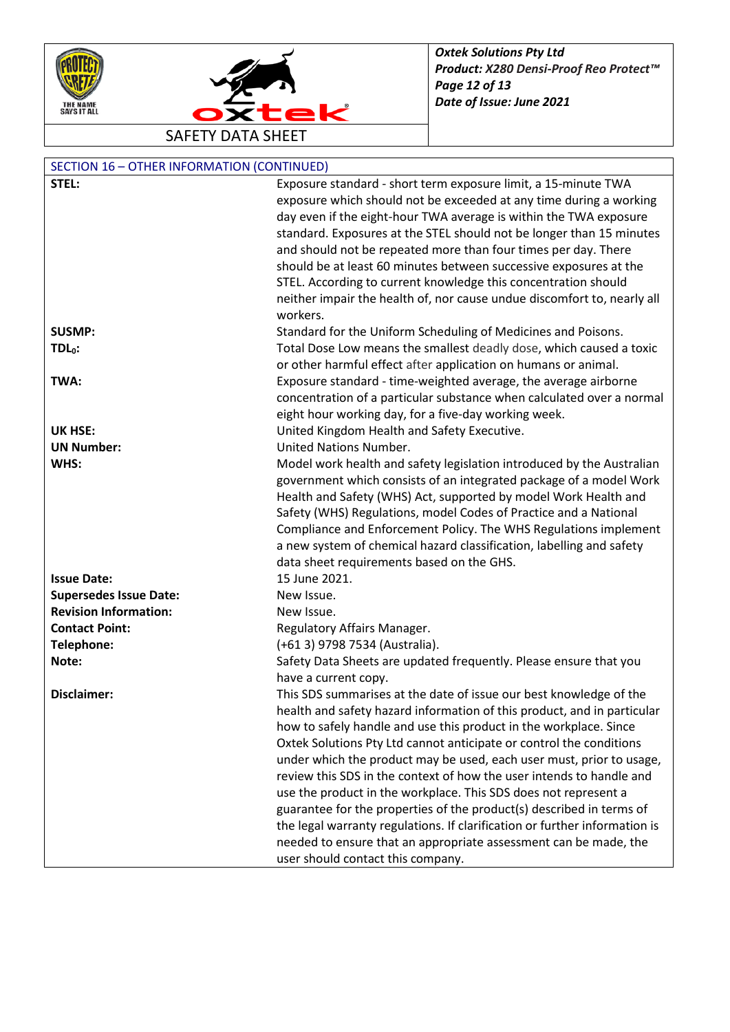



| <b>SECTION 16 - OTHER INFORMATION (CONTINUED)</b> |                                                                            |
|---------------------------------------------------|----------------------------------------------------------------------------|
| STEL:                                             | Exposure standard - short term exposure limit, a 15-minute TWA             |
|                                                   | exposure which should not be exceeded at any time during a working         |
|                                                   | day even if the eight-hour TWA average is within the TWA exposure          |
|                                                   | standard. Exposures at the STEL should not be longer than 15 minutes       |
|                                                   | and should not be repeated more than four times per day. There             |
|                                                   | should be at least 60 minutes between successive exposures at the          |
|                                                   | STEL. According to current knowledge this concentration should             |
|                                                   | neither impair the health of, nor cause undue discomfort to, nearly all    |
|                                                   | workers.                                                                   |
| <b>SUSMP:</b>                                     | Standard for the Uniform Scheduling of Medicines and Poisons.              |
| $TDL0$ :                                          | Total Dose Low means the smallest deadly dose, which caused a toxic        |
|                                                   | or other harmful effect after application on humans or animal.             |
| TWA:                                              | Exposure standard - time-weighted average, the average airborne            |
|                                                   | concentration of a particular substance when calculated over a normal      |
|                                                   | eight hour working day, for a five-day working week.                       |
| <b>UK HSE:</b>                                    | United Kingdom Health and Safety Executive.                                |
| <b>UN Number:</b>                                 | United Nations Number.                                                     |
| WHS:                                              | Model work health and safety legislation introduced by the Australian      |
|                                                   | government which consists of an integrated package of a model Work         |
|                                                   | Health and Safety (WHS) Act, supported by model Work Health and            |
|                                                   | Safety (WHS) Regulations, model Codes of Practice and a National           |
|                                                   | Compliance and Enforcement Policy. The WHS Regulations implement           |
|                                                   | a new system of chemical hazard classification, labelling and safety       |
|                                                   | data sheet requirements based on the GHS.                                  |
| <b>Issue Date:</b>                                | 15 June 2021.                                                              |
| <b>Supersedes Issue Date:</b>                     | New Issue.                                                                 |
| <b>Revision Information:</b>                      | New Issue.                                                                 |
| <b>Contact Point:</b>                             | Regulatory Affairs Manager.                                                |
| Telephone:                                        | (+61 3) 9798 7534 (Australia).                                             |
| Note:                                             | Safety Data Sheets are updated frequently. Please ensure that you          |
|                                                   | have a current copy.                                                       |
| Disclaimer:                                       | This SDS summarises at the date of issue our best knowledge of the         |
|                                                   | health and safety hazard information of this product, and in particular    |
|                                                   | how to safely handle and use this product in the workplace. Since          |
|                                                   | Oxtek Solutions Pty Ltd cannot anticipate or control the conditions        |
|                                                   | under which the product may be used, each user must, prior to usage,       |
|                                                   | review this SDS in the context of how the user intends to handle and       |
|                                                   | use the product in the workplace. This SDS does not represent a            |
|                                                   | guarantee for the properties of the product(s) described in terms of       |
|                                                   | the legal warranty regulations. If clarification or further information is |
|                                                   | needed to ensure that an appropriate assessment can be made, the           |
|                                                   | user should contact this company.                                          |